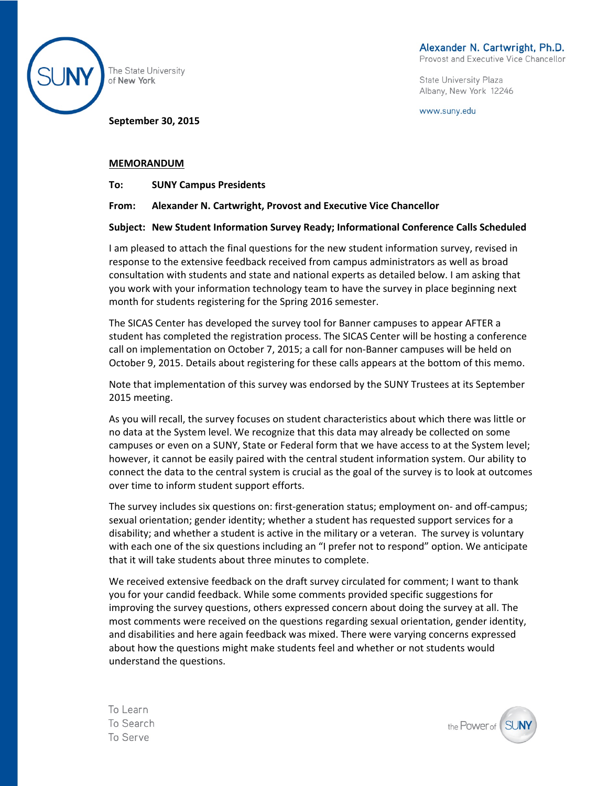

The State University of New York

**September 30, 2015**

State University Plaza Albany, New York 12246

www.suny.edu

#### **MEMORANDUM**

**To: SUNY Campus Presidents** 

#### **From: Alexander N. Cartwright, Provost and Executive Vice Chancellor**

#### **Subject: New Student Information Survey Ready; Informational Conference Calls Scheduled**

I am pleased to attach the final questions for the new student information survey, revised in response to the extensive feedback received from campus administrators as well as broad consultation with students and state and national experts as detailed below. I am asking that you work with your information technology team to have the survey in place beginning next month for students registering for the Spring 2016 semester.

The SICAS Center has developed the survey tool for Banner campuses to appear AFTER a student has completed the registration process. The SICAS Center will be hosting a conference call on implementation on October 7, 2015; a call for non-Banner campuses will be held on October 9, 2015. Details about registering for these calls appears at the bottom of this memo.

Note that implementation of this survey was endorsed by the SUNY Trustees at its September 2015 meeting.

As you will recall, the survey focuses on student characteristics about which there was little or no data at the System level. We recognize that this data may already be collected on some campuses or even on a SUNY, State or Federal form that we have access to at the System level; however, it cannot be easily paired with the central student information system. Our ability to connect the data to the central system is crucial as the goal of the survey is to look at outcomes over time to inform student support efforts.

The survey includes six questions on: first-generation status; employment on- and off-campus; sexual orientation; gender identity; whether a student has requested support services for a disability; and whether a student is active in the military or a veteran. The survey is voluntary with each one of the six questions including an "I prefer not to respond" option. We anticipate that it will take students about three minutes to complete.

We received extensive feedback on the draft survey circulated for comment; I want to thank you for your candid feedback. While some comments provided specific suggestions for improving the survey questions, others expressed concern about doing the survey at all. The most comments were received on the questions regarding sexual orientation, gender identity, and disabilities and here again feedback was mixed. There were varying concerns expressed about how the questions might make students feel and whether or not students would understand the questions.

To Learn To Search To Serve

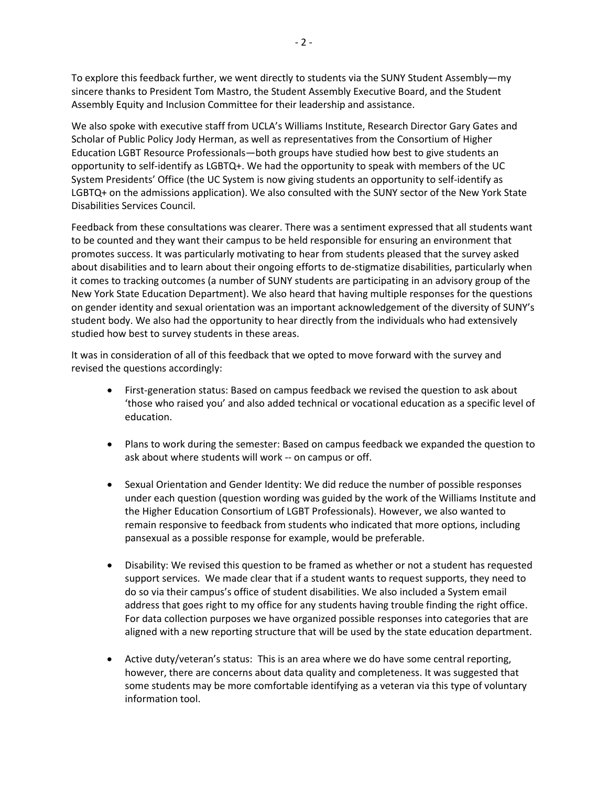To explore this feedback further, we went directly to students via the SUNY Student Assembly—my sincere thanks to President Tom Mastro, the Student Assembly Executive Board, and the Student Assembly Equity and Inclusion Committee for their leadership and assistance.

We also spoke with executive staff from UCLA's Williams Institute, Research Director Gary Gates and Scholar of Public Policy Jody Herman, as well as representatives from the Consortium of Higher Education LGBT Resource Professionals—both groups have studied how best to give students an opportunity to self-identify as LGBTQ+. We had the opportunity to speak with members of the UC System Presidents' Office (the UC System is now giving students an opportunity to self-identify as LGBTQ+ on the admissions application). We also consulted with the SUNY sector of the New York State Disabilities Services Council.

Feedback from these consultations was clearer. There was a sentiment expressed that all students want to be counted and they want their campus to be held responsible for ensuring an environment that promotes success. It was particularly motivating to hear from students pleased that the survey asked about disabilities and to learn about their ongoing efforts to de-stigmatize disabilities, particularly when it comes to tracking outcomes (a number of SUNY students are participating in an advisory group of the New York State Education Department). We also heard that having multiple responses for the questions on gender identity and sexual orientation was an important acknowledgement of the diversity of SUNY's student body. We also had the opportunity to hear directly from the individuals who had extensively studied how best to survey students in these areas.

It was in consideration of all of this feedback that we opted to move forward with the survey and revised the questions accordingly:

- First-generation status: Based on campus feedback we revised the question to ask about 'those who raised you' and also added technical or vocational education as a specific level of education.
- Plans to work during the semester: Based on campus feedback we expanded the question to ask about where students will work -- on campus or off.
- Sexual Orientation and Gender Identity: We did reduce the number of possible responses under each question (question wording was guided by the work of the Williams Institute and the Higher Education Consortium of LGBT Professionals). However, we also wanted to remain responsive to feedback from students who indicated that more options, including pansexual as a possible response for example, would be preferable.
- Disability: We revised this question to be framed as whether or not a student has requested support services. We made clear that if a student wants to request supports, they need to do so via their campus's office of student disabilities. We also included a System email address that goes right to my office for any students having trouble finding the right office. For data collection purposes we have organized possible responses into categories that are aligned with a new reporting structure that will be used by the state education department.
- Active duty/veteran's status: This is an area where we do have some central reporting, however, there are concerns about data quality and completeness. It was suggested that some students may be more comfortable identifying as a veteran via this type of voluntary information tool.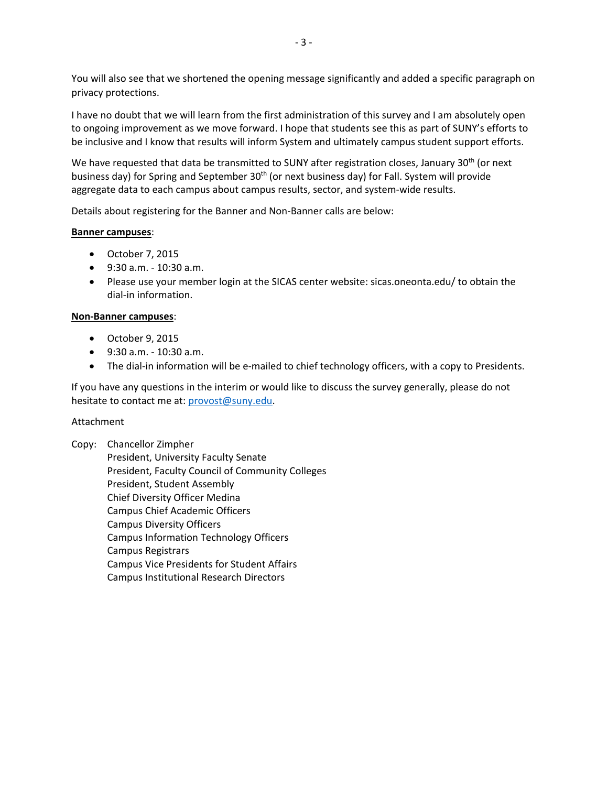You will also see that we shortened the opening message significantly and added a specific paragraph on privacy protections.

I have no doubt that we will learn from the first administration of this survey and I am absolutely open to ongoing improvement as we move forward. I hope that students see this as part of SUNY's efforts to be inclusive and I know that results will inform System and ultimately campus student support efforts.

We have requested that data be transmitted to SUNY after registration closes, January 30<sup>th</sup> (or next business day) for Spring and September 30<sup>th</sup> (or next business day) for Fall. System will provide aggregate data to each campus about campus results, sector, and system‐wide results.

Details about registering for the Banner and Non‐Banner calls are below:

#### **Banner campuses**:

- October 7, 2015
- 9:30 a.m. 10:30 a.m.
- Please use your member login at the SICAS center website: sicas.oneonta.edu/ to obtain the dial‐in information.

#### **Non‐Banner campuses**:

- October 9, 2015
- 9:30 a.m. 10:30 a.m.
- The dial-in information will be e-mailed to chief technology officers, with a copy to Presidents.

If you have any questions in the interim or would like to discuss the survey generally, please do not hesitate to contact me at: provost@suny.edu.

### Attachment

Copy: Chancellor Zimpher President, University Faculty Senate President, Faculty Council of Community Colleges President, Student Assembly Chief Diversity Officer Medina Campus Chief Academic Officers Campus Diversity Officers Campus Information Technology Officers Campus Registrars Campus Vice Presidents for Student Affairs Campus Institutional Research Directors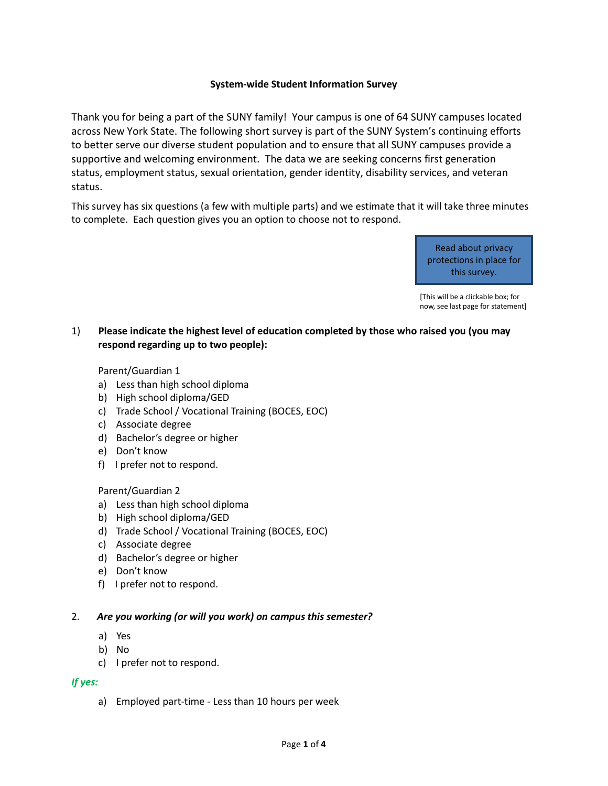### **System-wide Student Information Survey**

Thank you for being a part of the SUNY family! Your campus is one of 64 SUNY campuses located across New York State. The following short survey is part of the SUNY System's continuing efforts to better serve our diverse student population and to ensure that all SUNY campuses provide a supportive and welcoming environment. The data we are seeking concerns first generation status, employment status, sexual orientation, gender identity, disability services, and veteran status.

This survey has six questions (a few with multiple parts) and we estimate that it will take three minutes to complete. Each question gives you an option to choose not to respond.

> Read about privacy protections in place for this survey.

[This will be a clickable box; for now, see last page for statement]

# 1) **Please indicate the highest level of education completed by those who raised you (you may respond regarding up to two people):**

### Parent/Guardian 1

- a) Less than high school diploma
- b) High school diploma/GED
- c) Trade School / Vocational Training (BOCES, EOC)
- c) Associate degree
- d) Bachelor's degree or higher
- e) Don't know
- f) I prefer not to respond.

### Parent/Guardian 2

- a) Less than high school diploma
- b) High school diploma/GED
- d) Trade School / Vocational Training (BOCES, EOC)
- c) Associate degree
- d) Bachelor's degree or higher
- e) Don't know
- f) I prefer not to respond.

### 2. *Are you working (or will you work) on campus this semester?*

- a) Yes
- b) No
- c) I prefer not to respond.

### *If yes:*

a) Employed part-time - Less than 10 hours per week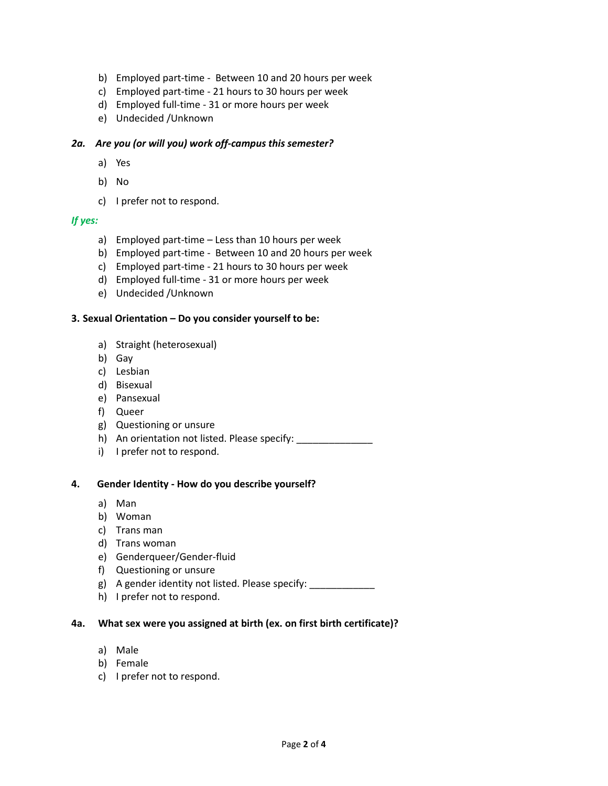- b) Employed part-time Between 10 and 20 hours per week
- c) Employed part-time 21 hours to 30 hours per week
- d) Employed full-time 31 or more hours per week
- e) Undecided /Unknown

### *2a. Are you (or will you) work off-campus this semester?*

- a) Yes
- b) No
- c) I prefer not to respond.

## *If yes:*

- a) Employed part-time Less than 10 hours per week
- b) Employed part-time Between 10 and 20 hours per week
- c) Employed part-time 21 hours to 30 hours per week
- d) Employed full-time 31 or more hours per week
- e) Undecided /Unknown

## **3. Sexual Orientation – Do you consider yourself to be:**

- a) Straight (heterosexual)
- b) Gay
- c) Lesbian
- d) Bisexual
- e) Pansexual
- f) Queer
- g) Questioning or unsure
- h) An orientation not listed. Please specify: \_\_\_\_\_\_\_\_\_\_\_\_\_\_
- i) I prefer not to respond.

### **4. Gender Identity - How do you describe yourself?**

- a) Man
- b) Woman
- c) Trans man
- d) Trans woman
- e) Genderqueer/Gender-fluid
- f) Questioning or unsure
- g) A gender identity not listed. Please specify: \_\_\_\_\_\_\_\_\_\_\_\_
- h) I prefer not to respond.

### **4a. What sex were you assigned at birth (ex. on first birth certificate)?**

- a) Male
- b) Female
- c) I prefer not to respond.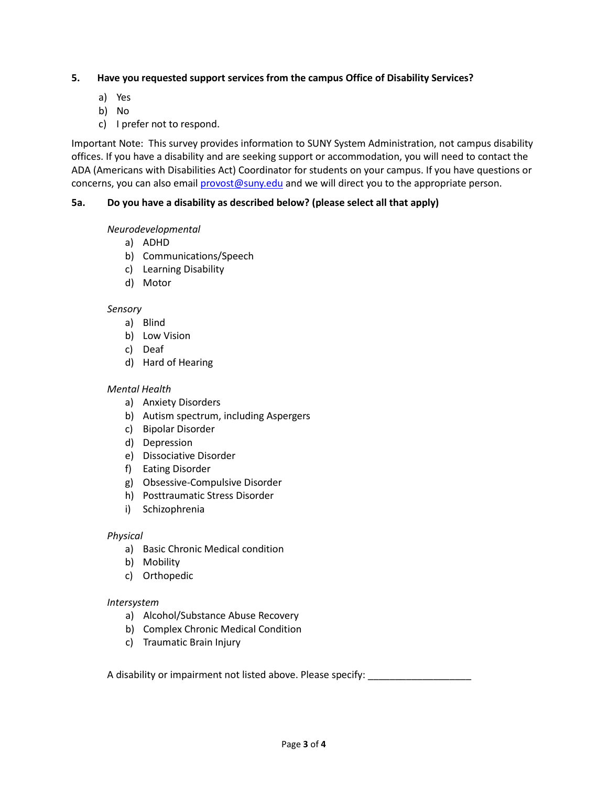## **5. Have you requested support services from the campus Office of Disability Services?**

- a) Yes
- b) No
- c) I prefer not to respond.

Important Note: This survey provides information to SUNY System Administration, not campus disability offices. If you have a disability and are seeking support or accommodation, you will need to contact the ADA (Americans with Disabilities Act) Coordinator for students on your campus. If you have questions or concerns, you can also email [provost@suny.edu](mailto:provost@suny.edu) and we will direct you to the appropriate person.

# **5a. Do you have a disability as described below? (please select all that apply)**

## *Neurodevelopmental*

- a) ADHD
- b) Communications/Speech
- c) Learning Disability
- d) Motor

## *Sensory*

- a) Blind
- b) Low Vision
- c) Deaf
- d) Hard of Hearing

# *Mental Health*

- a) Anxiety Disorders
- b) Autism spectrum, including Aspergers
- c) Bipolar Disorder
- d) Depression
- e) Dissociative Disorder
- f) Eating Disorder
- g) Obsessive-Compulsive Disorder
- h) Posttraumatic Stress Disorder
- i) Schizophrenia

# *Physical*

- a) Basic Chronic Medical condition
- b) Mobility
- c) Orthopedic

# *Intersystem*

- a) Alcohol/Substance Abuse Recovery
- b) Complex Chronic Medical Condition
- c) Traumatic Brain Injury

A disability or impairment not listed above. Please specify: \_\_\_\_\_\_\_\_\_\_\_\_\_